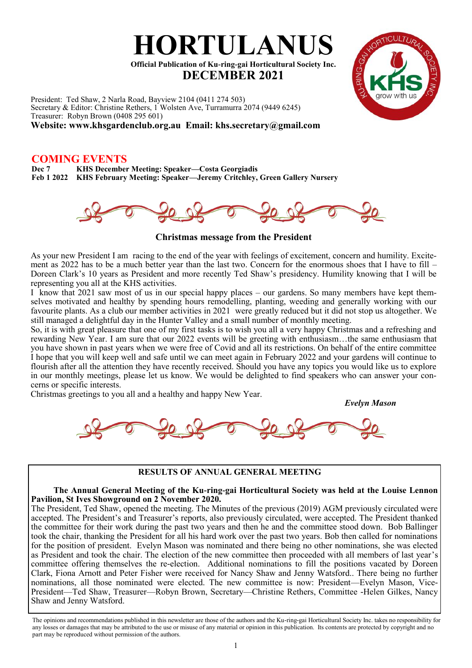

President: Ted Shaw, 2 Narla Road, Bayview 2104 (0411 274 503) Secretary & Editor: Christine Rethers, 1 Wolsten Ave, Turramurra 2074 (9449 6245) Treasurer: Robyn Brown (0408 295 601) **Website: www.khsgardenclub.org.au Email: khs.secretary@gmail.com**

# **COMING EVENTS**

**Dec 7 KHS December Meeting: Speaker—Costa Georgiadis Feb 1 2022 KHS February Meeting: Speaker—Jeremy Critchley, Green Gallery Nursery**



**Christmas message from the President** 

As your new President I am racing to the end of the year with feelings of excitement, concern and humility. Excitement as 2022 has to be a much better year than the last two. Concern for the enormous shoes that I have to fill – Doreen Clark's 10 years as President and more recently Ted Shaw's presidency. Humility knowing that I will be representing you all at the KHS activities.

I know that 2021 saw most of us in our special happy places – our gardens. So many members have kept themselves motivated and healthy by spending hours remodelling, planting, weeding and generally working with our favourite plants. As a club our member activities in 2021 were greatly reduced but it did not stop us altogether. We still managed a delightful day in the Hunter Valley and a small number of monthly meeting.

So, it is with great pleasure that one of my first tasks is to wish you all a very happy Christmas and a refreshing and rewarding New Year. I am sure that our 2022 events will be greeting with enthusiasm…the same enthusiasm that you have shown in past years when we were free of Covid and all its restrictions. On behalf of the entire committee I hope that you will keep well and safe until we can meet again in February 2022 and your gardens will continue to flourish after all the attention they have recently received. Should you have any topics you would like us to explore in our monthly meetings, please let us know. We would be delighted to find speakers who can answer your concerns or specific interests.

Christmas greetings to you all and a healthy and happy New Year.

*Evelyn Mason*



### **RESULTS OF ANNUAL GENERAL MEETING**

#### **The Annual General Meeting of the Ku-ring-gai Horticultural Society was held at the Louise Lennon Pavilion, St Ives Showground on 2 November 2020.**

The President, Ted Shaw, opened the meeting. The Minutes of the previous (2019) AGM previously circulated were accepted. The President's and Treasurer's reports, also previously circulated, were accepted. The President thanked the committee for their work during the past two years and then he and the committee stood down. Bob Ballinger took the chair, thanking the President for all his hard work over the past two years. Bob then called for nominations for the position of president. Evelyn Mason was nominated and there being no other nominations, she was elected as President and took the chair. The election of the new committee then proceeded with all members of last year's committee offering themselves the re-election. Additional nominations to fill the positions vacated by Doreen Clark, Fiona Arnott and Peter Fisher were received for Nancy Shaw and Jenny Watsford.. There being no further nominations, all those nominated were elected. The new committee is now: President—Evelyn Mason, Vice-President—Ted Shaw, Treasurer—Robyn Brown, Secretary—Christine Rethers, Committee -Helen Gilkes, Nancy Shaw and Jenny Watsford.

The opinions and recommendations published in this newsletter are those of the authors and the Ku-ring-gai Horticultural Society Inc. takes no responsibility for any losses or damages that may be attributed to the use or misuse of any material or opinion in this publication. Its contents are protected by copyright and no part may be reproduced without permission of the authors.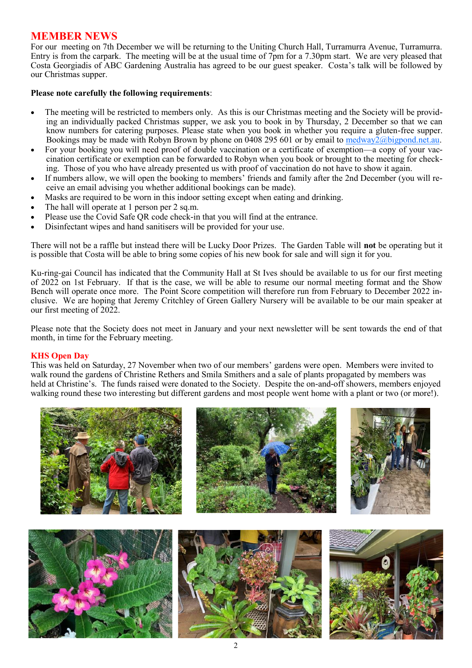# **MEMBER NEWS**

For our meeting on 7th December we will be returning to the Uniting Church Hall, Turramurra Avenue, Turramurra. Entry is from the carpark. The meeting will be at the usual time of 7pm for a 7.30pm start. We are very pleased that Costa Georgiadis of ABC Gardening Australia has agreed to be our guest speaker. Costa's talk will be followed by our Christmas supper.

#### **Please note carefully the following requirements**:

- The meeting will be restricted to members only. As this is our Christmas meeting and the Society will be providing an individually packed Christmas supper, we ask you to book in by Thursday, 2 December so that we can know numbers for catering purposes. Please state when you book in whether you require a gluten-free supper. Bookings may be made with Robyn Brown by phone on 0408 295 601 or by email to [medway2@bigpond.net.au.](mailto:medway2@bigpond.net.au)
- For your booking you will need proof of double vaccination or a certificate of exemption—a copy of your vaccination certificate or exemption can be forwarded to Robyn when you book or brought to the meeting for checking. Those of you who have already presented us with proof of vaccination do not have to show it again.
- If numbers allow, we will open the booking to members' friends and family after the 2nd December (you will receive an email advising you whether additional bookings can be made).
- Masks are required to be worn in this indoor setting except when eating and drinking.
- The hall will operate at 1 person per 2 sq.m.
- Please use the Covid Safe QR code check-in that you will find at the entrance.
- Disinfectant wipes and hand sanitisers will be provided for your use.

There will not be a raffle but instead there will be Lucky Door Prizes. The Garden Table will **not** be operating but it is possible that Costa will be able to bring some copies of his new book for sale and will sign it for you.

Ku-ring-gai Council has indicated that the Community Hall at St Ives should be available to us for our first meeting of 2022 on 1st February. If that is the case, we will be able to resume our normal meeting format and the Show Bench will operate once more. The Point Score competition will therefore run from February to December 2022 inclusive. We are hoping that Jeremy Critchley of Green Gallery Nursery will be available to be our main speaker at our first meeting of 2022.

Please note that the Society does not meet in January and your next newsletter will be sent towards the end of that month, in time for the February meeting.

### **KHS Open Day**

This was held on Saturday, 27 November when two of our members' gardens were open. Members were invited to walk round the gardens of Christine Rethers and Smila Smithers and a sale of plants propagated by members was held at Christine's. The funds raised were donated to the Society. Despite the on-and-off showers, members enjoyed walking round these two interesting but different gardens and most people went home with a plant or two (or more!).

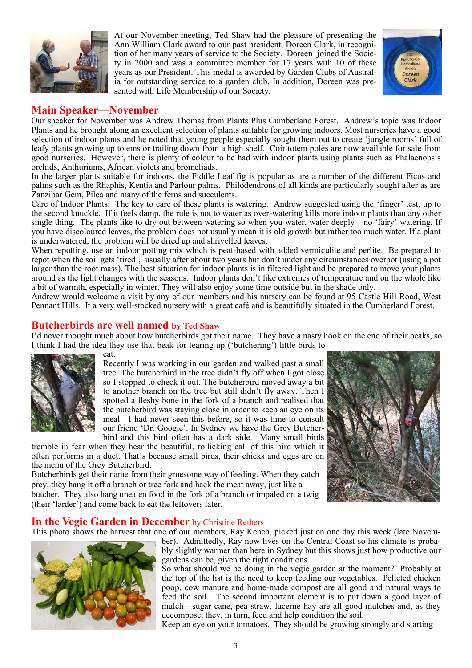

At our November meeting, Ted Shaw had the pleasure of presenting the Ann William Clark award to our past president, Doreen Clark, in recognition of her many years of service to the Society. Doreen joined the Society in 2000 and was a committee member for 17 years with 10 of these years as our President. This medal is awarded by Garden Clubs of Australia for outstanding service to a garden club. In addition, Doreen was presented with Life Membership of our Society.



# **Main Speaker—November**

Our speaker for November was Andrew Thomas from Plants Plus Cumberland Forest. Andrew's topic was Indoor Plants and he brought along an excellent selection of plants suitable for growing indoors. Most nurseries have a good selection of indoor plants and he noted that young people especially sought them out to create 'jungle rooms' full of leafy plants growing up totems or trailing down from a high shelf. Coir totem poles are now available for sale from good nurseries. However, there is plenty of colour to be had with indoor plants using plants such as Phalaenopsis orchids, Anthuriums, African violets and bromeliads.

In the larger plants suitable for indoors, the Fiddle Leaf fig is popular as are a number of the different Ficus and palms such as the Rhaphis, Kentia and Parlour palms. Philodendrons of all kinds are particularly sought after as are Zanzibar Gem, Pilea and many of the ferns and succulents.

Care of Indoor Plants: The key to care of these plants is watering. Andrew suggested using the 'finger' test, up to the second knuckle. If it feels damp, the rule is not to water as over-watering kills more indoor plants than any other single thing. The plants like to dry out between watering so when you water, water deeply—no 'fairy' watering. If you have discoloured leaves, the problem does not usually mean it is old growth but rather too much water. If a plant is underwatered, the problem will be dried up and shrivelled leaves.

When repotting, use an indoor potting mix which is peat-based with added vermiculite and perlite. Be prepared to repot when the soil gets 'tired', usually after about two years but don't under any circumstances overpot (using a pot larger than the root mass). The best situation for indoor plants is in filtered light and be prepared to move your plants around as the light changes with the seasons. Indoor plants don't like extremes of temperature and on the whole like a bit of warmth, especially in winter. They will also enjoy some time outside but in the shade only.

Andrew would welcome a visit by any of our members and his nursery can be found at 95 Castle Hill Road, West Pennant Hills. It a very well-stocked nursery with a great café and is beautifully situated in the Cumberland Forest.

# **Butcherbirds are well named by Ted Shaw**

I'd never thought much about how butcherbirds got their name. They have a nasty hook on the end of their beaks, so I think I had the idea they use that beak for tearing up ('butchering') little birds to



eat. Recently I was working in our garden and walked past a small tree. The butcherbird in the tree didn't fly off when I got close so I stopped to check it out. The butcherbird moved away a bit to another branch on the tree but still didn't fly away. Then I spotted a fleshy bone in the fork of a branch and realised that the butcherbird was staying close in order to keep an eye on its meal. I had never seen this before, so it was time to consult our friend 'Dr. Google'. In Sydney we have the Grey Butcherbird and this bird often has a dark side. Many small birds

tremble in fear when they hear the beautiful, rollicking call of this bird which it often performs in a duet. That's because small birds, their chicks and eggs are on the menu of the Grey Butcherbird.

Butcherbirds get their name from their gruesome way of feeding. When they catch prey, they hang it off a branch or tree fork and hack the meat away, just like a butcher. They also hang uneaten food in the fork of a branch or impaled on a twig (their 'larder') and come back to eat the leftovers later.



# **In the Vegie Garden in December** by Christine Rethers

This photo shows the harvest that one of our members, Ray Kench, picked just on one day this week (late Novem-



ber). Admittedly, Ray now lives on the Central Coast so his climate is probably slightly warmer than here in Sydney but this shows just how productive our gardens can be, given the right conditions.

So what should we be doing in the vegie garden at the moment? Probably at the top of the list is the need to keep feeding our vegetables. Pelleted chicken poop, cow manure and home-made compost are all good and natural ways to feed the soil. The second important element is to put down a good layer of mulch—sugar cane, pea straw, lucerne hay are all good mulches and, as they decompose, they, in turn, feed and help condition the soil.

Keep an eye on your tomatoes. They should be growing strongly and starting